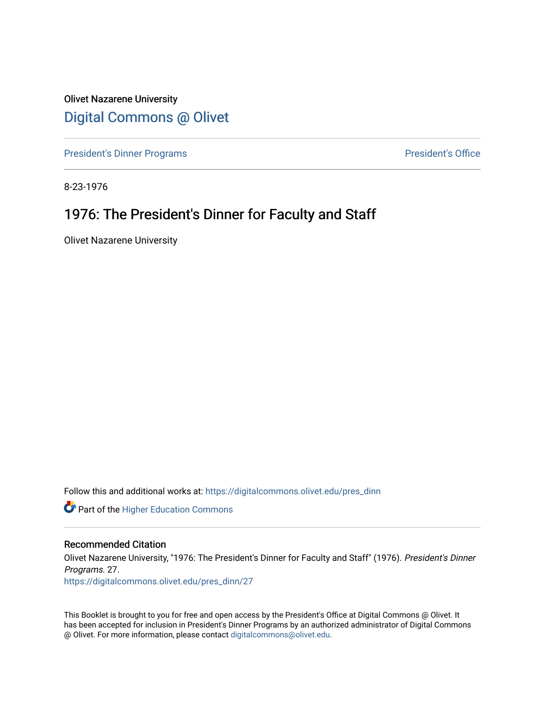Olivet Nazarene University [Digital Commons @ Olivet](https://digitalcommons.olivet.edu/)

[President's Dinner Programs](https://digitalcommons.olivet.edu/pres_dinn) **President's Office** 

8-23-1976

## 1976: The President's Dinner for Faculty and Staff

Olivet Nazarene University

Follow this and additional works at: [https://digitalcommons.olivet.edu/pres\\_dinn](https://digitalcommons.olivet.edu/pres_dinn?utm_source=digitalcommons.olivet.edu%2Fpres_dinn%2F27&utm_medium=PDF&utm_campaign=PDFCoverPages)

**Part of the Higher Education Commons** 

#### Recommended Citation

Olivet Nazarene University, "1976: The President's Dinner for Faculty and Staff" (1976). President's Dinner Programs. 27.

[https://digitalcommons.olivet.edu/pres\\_dinn/27](https://digitalcommons.olivet.edu/pres_dinn/27?utm_source=digitalcommons.olivet.edu%2Fpres_dinn%2F27&utm_medium=PDF&utm_campaign=PDFCoverPages) 

This Booklet is brought to you for free and open access by the President's Office at Digital Commons @ Olivet. It has been accepted for inclusion in President's Dinner Programs by an authorized administrator of Digital Commons @ Olivet. For more information, please contact [digitalcommons@olivet.edu.](mailto:digitalcommons@olivet.edu)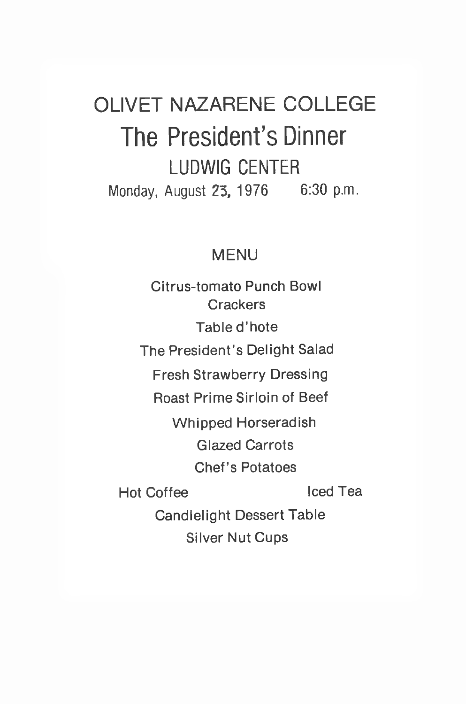# OLIVET NAZARENE COLLEGE The President's Dinner **LUDWIG CENTER** Monday, August 23, 1976 6:30 p.m.

## MENU

Citrus-tomato Punch Bowl **Crackers** Table d'hote The President's Delight Salad Fresh Strawberry Dressing Roast Prime Sirloin of Beef Whipped Horseradish Glazed Carrots Chef's Potatoes Hot Coffee Iced Tea Candlelight Dessert Table Silver Nut Cups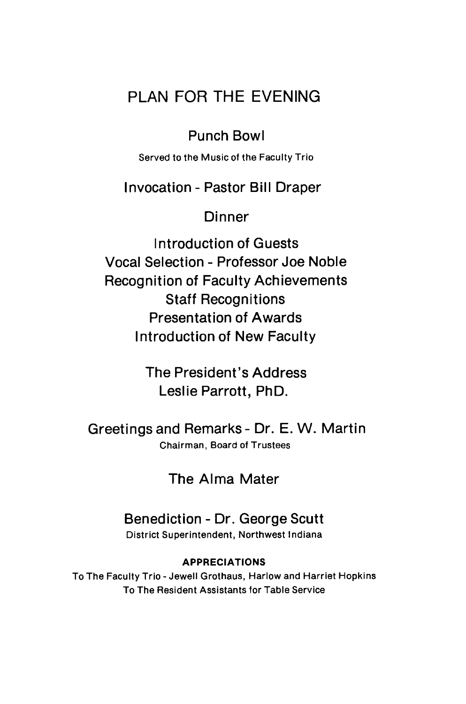## PLAN FOR THE EVENING

## Punch Bowl

Served to the Music of the Faculty Trio

#### Invocation - Pastor Bill Draper

#### Dinner

Introduction of Guests Vocal Selection - Professor Joe Noble Recognition of Faculty Achievements Staff Recognitions Presentation of Awards Introduction of New Faculty

> The President's Address Leslie Parrott, PhD.

Greetings and Remarks - Dr. E. W. Martin Chairman, Board of Trustees

## The Alma Mater

#### Benediction - Dr. George Scutt District Superintendent, Northwest Indiana

#### **APPRECIATIONS**

To The Faculty Trio - Jewell Grothaus, Harlow and Harriet Hopkins To The Resident Assistants for Table Service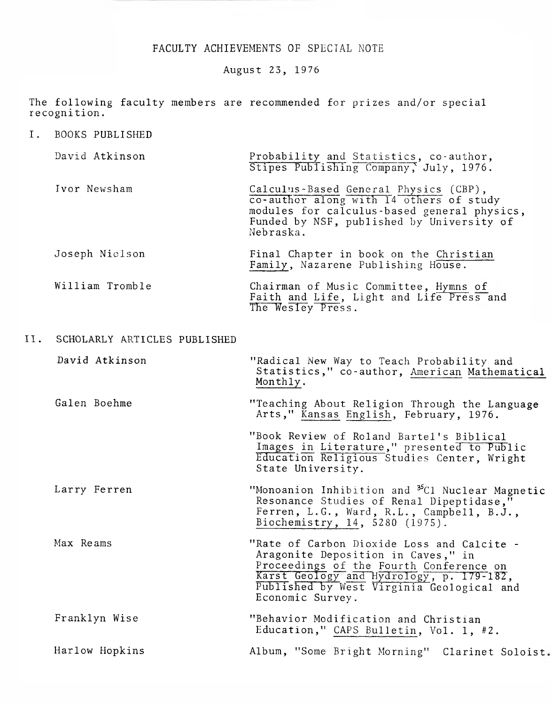#### FACULTY ACHIEVEMENTS OF SPECIAL NOTE

August 23, 19 76

The following faculty members are recommended for prizes and/or special recognition.

I. BOOKS PUBLISHED

| David Atkinson | Probability and Statistics, co-author,<br>Stipes Publishing Company, July, 1976.                                                                                                          |
|----------------|-------------------------------------------------------------------------------------------------------------------------------------------------------------------------------------------|
| Ivor Newsham   | Calculus-Based General Physics (CBP),<br>co-author along with 14 others of study<br>modules for calculus-based general physics,<br>Funded by NSF, published by University of<br>Nebraska. |
| Joseph Nielson | Final Chapter in book on the Christian<br>Family, Nazarene Publishing House.                                                                                                              |

#### William Tromble Chairman of Music Committee, Hymns of Faith and Life, Light and Life Press and The Wesley Press.

#### II. SCHOLARLY ARTICLES PUBLISHED

| David Atkinson | "Radical New Way to Teach Probability and<br>Statistics," co-author, American Mathematical<br>Monthly.                                                                                                                                   |
|----------------|------------------------------------------------------------------------------------------------------------------------------------------------------------------------------------------------------------------------------------------|
| Galen Boehme   | "Teaching About Religion Through the Language<br>Arts," Kansas English, February, 1976.                                                                                                                                                  |
|                | "Book Review of Roland Bartel's Biblical<br>Images in Literature," presented to Public<br>Education Religious Studies Center, Wright<br>State University.                                                                                |
| Larry Ferren   | "Monoanion Inhibition and <sup>35</sup> C1 Nuclear Magnetic<br>Resonance Studies of Renal Dipeptidase,"<br>Ferren, L.G., Ward, R.L., Campbell, B.J.,<br>Biochemistry, 14, 5280 (1975).                                                   |
| Max Reams      | "Rate of Carbon Dioxide Loss and Calcite -<br>Aragonite Deposition in Caves," in<br>Proceedings of the Fourth Conference on<br>Karst Geology and Hydrology, p. 179-182,<br>Published by West Virginia Geological and<br>Economic Survey. |
| Franklyn Wise  | "Behavior Modification and Christian<br>Education," CAPS Bulletin, Vol. 1, #2.                                                                                                                                                           |
| Harlow Hopkins | Album, "Some Bright Morning" Clarinet Soloist.                                                                                                                                                                                           |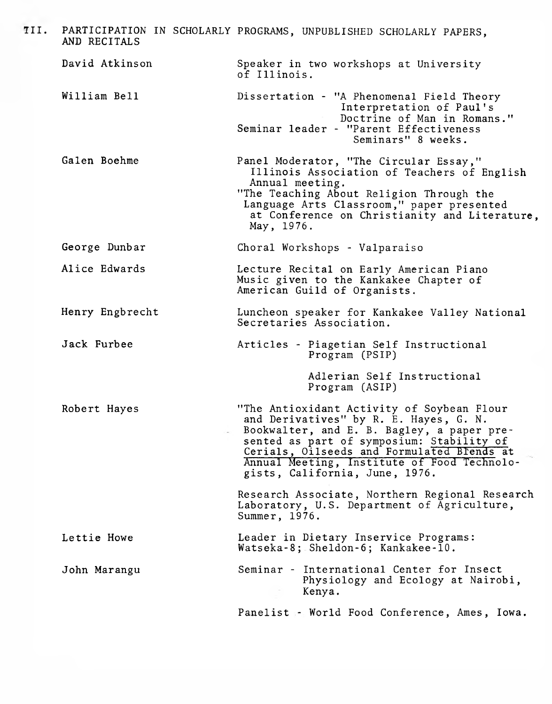| TII. | AND RECITALS    | PARTICIPATION IN SCHOLARLY PROGRAMS, UNPUBLISHED SCHOLARLY PAPERS,                                                                                                                                                                                                                                             |
|------|-----------------|----------------------------------------------------------------------------------------------------------------------------------------------------------------------------------------------------------------------------------------------------------------------------------------------------------------|
|      | David Atkinson  | Speaker in two workshops at University<br>of Illinois.                                                                                                                                                                                                                                                         |
|      | William Bell    | Dissertation - "A Phenomenal Field Theory<br>Interpretation of Paul's<br>Doctrine of Man in Romans."<br>Seminar leader - "Parent Effectiveness<br>Seminars" 8 weeks.                                                                                                                                           |
|      | Galen Boehme    | Panel Moderator, "The Circular Essay,"<br>Illinois Association of Teachers of English<br>Annual meeting.<br>"The Teaching About Religion Through the<br>Language Arts Classroom," paper presented<br>at Conference on Christianity and Literature,<br>May, 1976.                                               |
|      | George Dunbar   | Choral Workshops - Valparaiso                                                                                                                                                                                                                                                                                  |
|      | Alice Edwards   | Lecture Recital on Early American Piano<br>Music given to the Kankakee Chapter of<br>American Guild of Organists.                                                                                                                                                                                              |
|      | Henry Engbrecht | Luncheon speaker for Kankakee Valley National<br>Secretaries Association.                                                                                                                                                                                                                                      |
|      | Jack Furbee     | Articles - Piagetian Self Instructional<br>Program (PSIP)                                                                                                                                                                                                                                                      |
|      |                 | Adlerian Self Instructional<br>Program (ASIP)                                                                                                                                                                                                                                                                  |
|      | Robert Hayes    | "The Antioxidant Activity of Soybean Flour<br>and Derivatives" by R. E. Hayes, G. N.<br>Bookwalter, and E. B. Bagley, a paper pre-<br>sented as part of symposium: Stability of<br>Cerials, Oilseeds and Formulated Brends at<br>Annual Meeting, Institute of Food Technolo-<br>gists, California, June, 1976. |
|      |                 | Research Associate, Northern Regional Research<br>Laboratory, U.S. Department of Agriculture,<br>Summer, 1976.                                                                                                                                                                                                 |
|      | Lettie Howe     | Leader in Dietary Inservice Programs:<br>Watseka-8; Sheldon-6; Kankakee-10.                                                                                                                                                                                                                                    |
|      | John Marangu    | Seminar - International Center for Insect<br>Physiology and Ecology at Nairobi,<br>Kenya.                                                                                                                                                                                                                      |
|      |                 | Panelist - World Food Conference, Ames, Iowa.                                                                                                                                                                                                                                                                  |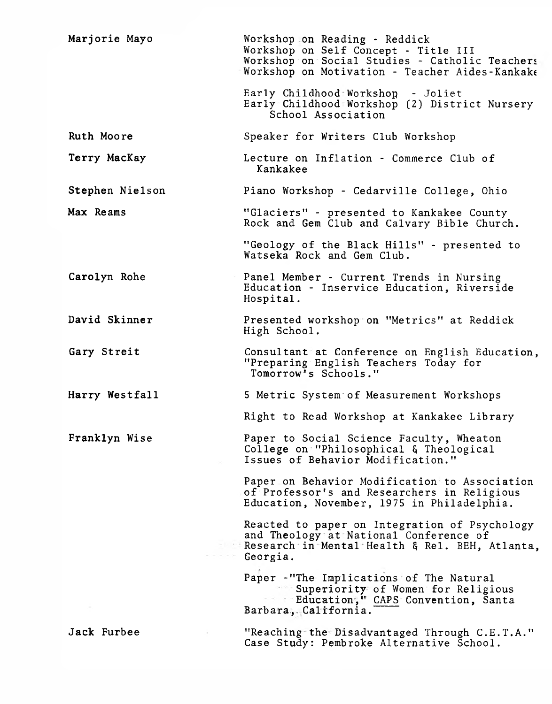| Marjorie Mayo   | Workshop on Reading - Reddick<br>Workshop on Self Concept - Title III<br>Workshop on Social Studies - Catholic Teachers<br>Workshop on Motivation - Teacher Aides-Kankake<br>Early Childhood Workshop - Joliet |
|-----------------|----------------------------------------------------------------------------------------------------------------------------------------------------------------------------------------------------------------|
|                 | Early Childhood Workshop (2) District Nursery<br>School Association                                                                                                                                            |
| Ruth Moore      | Speaker for Writers Club Workshop                                                                                                                                                                              |
| Terry MacKay    | Lecture on Inflation - Commerce Club of<br>Kankakee                                                                                                                                                            |
| Stephen Nielson | Piano Workshop - Cedarville College, Ohio                                                                                                                                                                      |
| Max Reams       | "Glaciers" - presented to Kankakee County<br>Rock and Gem Club and Calvary Bible Church.                                                                                                                       |
|                 | "Geology of the Black Hills" - presented to<br>Watseka Rock and Gem Club.                                                                                                                                      |
| Carolyn Rohe    | Panel Member - Current Trends in Nursing<br>Education - Inservice Education, Riverside<br>Hospital.                                                                                                            |
| David Skinner   | Presented workshop on "Metrics" at Reddick<br>High School.                                                                                                                                                     |
| Gary Streit     | Consultant at Conference on English Education,<br>"Preparing English Teachers Today for<br>Tomorrow's Schools."                                                                                                |
| Harry Westfall  | 5 Metric System of Measurement Workshops                                                                                                                                                                       |
|                 | Right to Read Workshop at Kankakee Library                                                                                                                                                                     |
| Franklyn Wise   | Paper to Social Science Faculty, Wheaton<br>College on "Philosophical & Theological<br>Issues of Behavior Modification."                                                                                       |
|                 | Paper on Behavior Modification to Association<br>of Professor's and Researchers in Religious<br>Education, November, 1975 in Philadelphia.                                                                     |
|                 | Reacted to paper on Integration of Psychology<br>and Theology at National Conference of<br>Research in Mental Health & Rel. BEH, Atlanta,<br>Georgia.                                                          |
|                 | Paper - "The Implications of The Natural<br>Superiority of Women for Religious<br>Education," CAPS Convention, Santa<br>Barbara, California.                                                                   |
| Jack Furbee     | "Reaching the Disadvantaged Through C.E.T.A."<br>Case Study: Pembroke Alternative School.                                                                                                                      |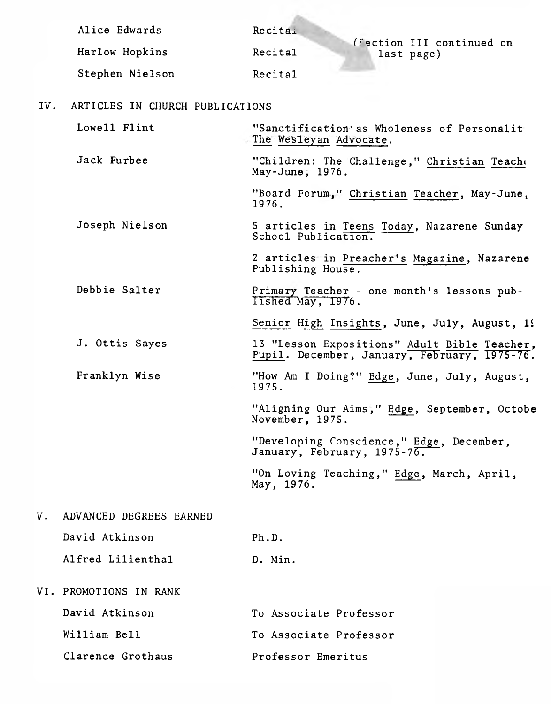| Alice Edwards   | Recitai |                                         |
|-----------------|---------|-----------------------------------------|
| Harlow Hopkins  | Recital | (Section III continued on<br>last page) |
| Stephen Nielson | Recital |                                         |

**State** 

IV. ARTICLES IN CHURCH PUBLICATIONS

| Lowell Flint                  | "Sanctification as Wholeness of Personalit<br>The Wesleyan Advocate.                         |
|-------------------------------|----------------------------------------------------------------------------------------------|
| Jack Furbee                   | "Children: The Challenge," Christian Teacho<br>May-June, 1976.                               |
|                               | "Board Forum," Christian Teacher, May-June,<br>1976.                                         |
| Joseph Nielson                | 5 articles in Teens Today, Nazarene Sunday<br>School Publication.                            |
|                               | 2 articles in Preacher's Magazine, Nazarene<br>Publishing House.                             |
| Debbie Salter                 | Primary Teacher - one month's lessons pub-<br>Iished May, 1976.                              |
|                               | Senior High Insights, June, July, August, 19                                                 |
| J. Ottis Sayes                | 13 "Lesson Expositions" Adult Bible Teacher,<br>Pupil. December, January, February, 1975-76. |
| Franklyn Wise                 | "How Am I Doing?" Edge, June, July, August,<br>1975.                                         |
|                               | "Aligning Our Aims," Edge, September, Octobe<br>November, 1975.                              |
|                               | "Developing Conscience," Edge, December,<br>January, February, 1975-76.                      |
|                               | "On Loving Teaching," Edge, March, April,<br>May, 1976.                                      |
| ADVANCED DEGREES EARNED<br>V. |                                                                                              |

| David Atkinson    | Ph.D.   |
|-------------------|---------|
| Alfred Lilienthal | D. Min. |

VI. PROMOTIONS IN RANK

| David Atkinson    | To Associate Professor |
|-------------------|------------------------|
| William Bell      | To Associate Professor |
| Clarence Grothaus | Professor Emeritus     |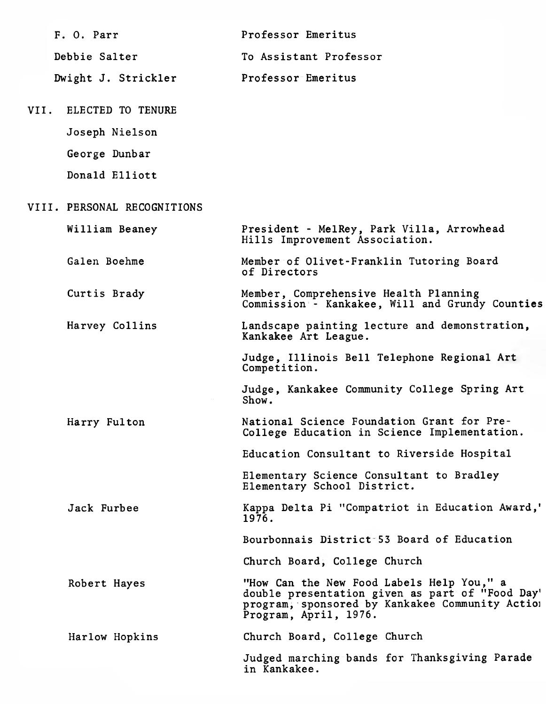| F. O. Parr                  | Professor Emeritus                                                                                                                                                       |
|-----------------------------|--------------------------------------------------------------------------------------------------------------------------------------------------------------------------|
| Debbie Salter               | To Assistant Professor                                                                                                                                                   |
| Dwight J. Strickler         | Professor-Emeritus                                                                                                                                                       |
| VII.<br>ELECTED TO TENURE   |                                                                                                                                                                          |
| Joseph Nielson              |                                                                                                                                                                          |
| George Dunbar               |                                                                                                                                                                          |
| Donald Elliott              |                                                                                                                                                                          |
| VIII. PERSONAL RECOGNITIONS |                                                                                                                                                                          |
| William Beaney              | President - MelRey, Park Villa, Arrowhead<br>Hills Improvement Association.                                                                                              |
| Galen Boehme                | Member of Olivet-Franklin Tutoring Board<br>of Directors                                                                                                                 |
| Curtis Brady                | Member, Comprehensive Health Planning<br>Commission <sup>1</sup> - Kankakee, Will and Grundy Counties                                                                    |
| Harvey Collins              | Landscape painting lecture and demonstration,<br>Kankakee Art League.                                                                                                    |
|                             | Judge, Illinois Bell Telephone Regional Art<br>Competition.                                                                                                              |
|                             | Judge, Kankakee Community College Spring Art<br>Show.                                                                                                                    |
| Harry Fulton                | National Science Foundation Grant for Pre-<br>College Education in Science Implementation.                                                                               |
|                             | Education Consultant to Riverside Hospital                                                                                                                               |
|                             | Elementary Science Consultant to Bradley<br>Elementary School District.                                                                                                  |
| Jack Furbee                 | Kappa Delta Pi "Compatriot in Education Award,"<br>1976.                                                                                                                 |
|                             | Bourbonnais District 53 Board of Education                                                                                                                               |
|                             | Church Board, College Church                                                                                                                                             |
| Robert Hayes                | "How Can the New Food Labels Help You," a<br>double presentation given as part of "Food Day'<br>program, sponsored by Kankakee Community Action<br>Program, April, 1976. |
| Harlow Hopkins              | Church Board, College Church                                                                                                                                             |
|                             | Judged marching-bands for Thanksgiving Parade<br>in Kankakee.                                                                                                            |
|                             |                                                                                                                                                                          |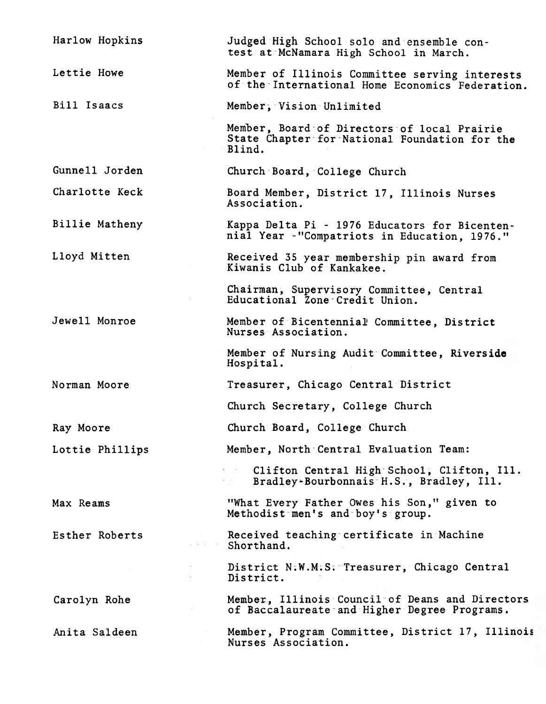| Harlow Hopkins  | Judged High School solo and ensemble con-<br>test at McNamara High School in March.                    |
|-----------------|--------------------------------------------------------------------------------------------------------|
| Lettie Howe     | Member of Illinois Committee serving interests<br>of the International Home Economics Federation.      |
| Bill Isaacs     | Member, Vision Unlimited                                                                               |
|                 | Member, Board of Directors of local Prairie<br>State Chapter for National Foundation for the<br>Blind. |
| Gunnell Jorden  | Church Board, College Church                                                                           |
| Charlotte Keck  | Board Member, District 17, Illinois Nurses<br>Association.                                             |
| Billie Matheny  | Kappa Delta Pi - 1976 Educators for Bicenten-<br>nial Year -"Compatriots in Education, 1976."          |
| Lloyd Mitten    | Received 35 year membership pin award from<br>Kiwanis Club of Kankakee.                                |
|                 | Chairman, Supervisory Committee, Central<br>Educational Zone Credit Union.                             |
| Jewell Monroe   | Member of Bicentennial Committee, District<br>Nurses Association.                                      |
|                 | Member of Nursing Audit Committee, Riverside<br>Hospital.                                              |
| Norman Moore    | Treasurer, Chicago Central District                                                                    |
|                 | Church Secretary, College Church                                                                       |
| Ray Moore       | Church Board, College Church                                                                           |
| Lottie Phillips | Member, North Central Evaluation Team:                                                                 |
|                 | Clifton Central High School, Clifton, Ill.<br>Bradley-Bourbonnais H.S., Bradley, Ill.<br>天 朝 一         |
| Max Reams       | "What Every Father Owes his Son," given to<br>Methodist men's and boy's group.                         |
| Esther Roberts  | Received teaching certificate in Machine<br>Shorthand.                                                 |
|                 | District N:W.M:S: Treasurer, Chicago Central<br>District.                                              |
| Carolyn Rohe    | Member, Illinois Council of Deans and Directors<br>of Baccalaureate and Higher Degree Programs.        |
| Anita Saldeen   | Member, Program Committee, District 17, Illinois<br>Nurses Association.                                |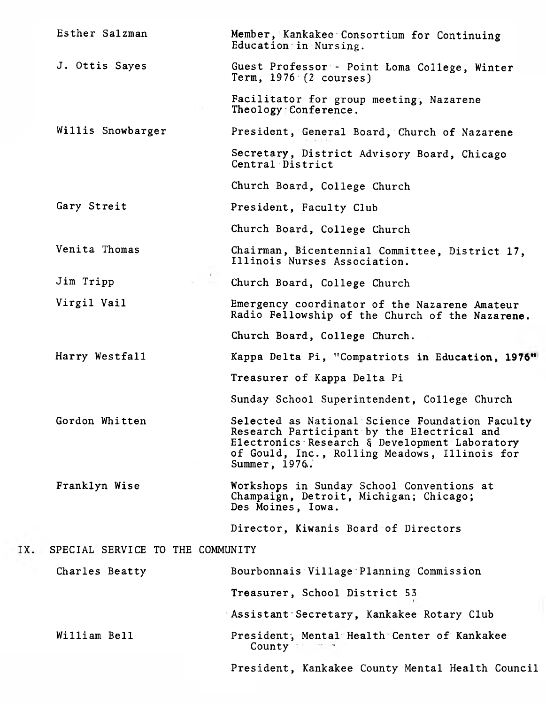| Esther Salzman                   | Member, Kankakee Consortium for Continuing<br>Education in Nursing.                                                                                                                                              |  |
|----------------------------------|------------------------------------------------------------------------------------------------------------------------------------------------------------------------------------------------------------------|--|
| J. Ottis Sayes                   | Guest Professor - Point Loma College, Winter<br>Term, $1976 - (2 course)$                                                                                                                                        |  |
|                                  | Facilitator for group meeting, Nazarene<br>Theology Conference.                                                                                                                                                  |  |
| Willis Snowbarger                | President, General Board, Church of Nazarene                                                                                                                                                                     |  |
|                                  | Secretary, District Advisory Board, Chicago<br>Central District                                                                                                                                                  |  |
|                                  | Church Board, College Church                                                                                                                                                                                     |  |
| Gary Streit                      | President, Faculty Club                                                                                                                                                                                          |  |
|                                  | Church Board, College Church                                                                                                                                                                                     |  |
| Venita Thomas                    | Chairman, Bicentennial Committee, District 17,<br>Illinois Nurses Association.                                                                                                                                   |  |
| Jim Tripp                        | Church Board, College Church                                                                                                                                                                                     |  |
| Virgil Vail                      | Emergency coordinator of the Nazarene Amateur<br>Radio Fellowship of the Church of the Nazarene.                                                                                                                 |  |
|                                  | Church Board, College Church.                                                                                                                                                                                    |  |
| Harry Westfall                   | Kappa Delta Pi, "Compatriots in Education, 1976"                                                                                                                                                                 |  |
|                                  | Treasurer of Kappa Delta Pi                                                                                                                                                                                      |  |
|                                  | Sunday School Superintendent, College Church                                                                                                                                                                     |  |
| Gordon Whitten                   | Selected as National Science Foundation Faculty<br>Research Participant by the Electrical and<br>Electronics Research & Development Laboratory<br>of Gould, Inc., Rolling Meadows, Illinois for<br>Summer, 1976. |  |
| Franklyn Wise                    | Workshops in Sunday School Conventions at<br>Champaign, Detroit, Michigan; Chicago;<br>Des Moines, Iowa.                                                                                                         |  |
|                                  | Director, Kiwanis Board of Directors                                                                                                                                                                             |  |
| SPECIAL SERVICE TO THE COMMUNITY |                                                                                                                                                                                                                  |  |
| Charles Beatty                   | Bourbonnais Village Planning Commission                                                                                                                                                                          |  |
|                                  | Treasurer, School District 53                                                                                                                                                                                    |  |
|                                  | Assistant Secretary, Kankakee Rotary Club                                                                                                                                                                        |  |
| William Bell                     | President, Mental Health Center of Kankakee<br>County                                                                                                                                                            |  |
|                                  | President, Kankakee County Mental Health Council                                                                                                                                                                 |  |

IX.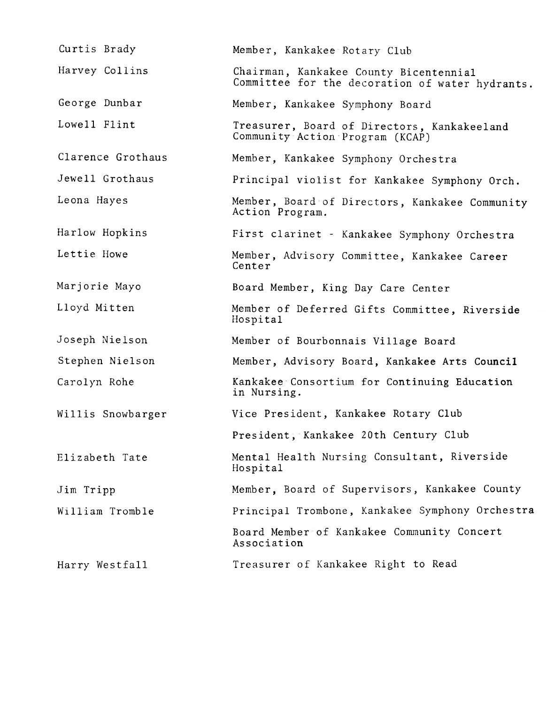| Curtis Brady      | Member, Kankakee Rotary Club                                                              |
|-------------------|-------------------------------------------------------------------------------------------|
| Harvey Collins    | Chairman, Kankakee County Bicentennial<br>Committee for the decoration of water hydrants. |
| George Dunbar     | Member, Kankakee Symphony Board                                                           |
| Lowell Flint      | Treasurer, Board of Directors, Kankakeeland<br>Community Action Program (KCAP)            |
| Clarence Grothaus | Member, Kankakee Symphony Orchestra                                                       |
| Jewell Grothaus   | Principal violist for Kankakee Symphony Orch.                                             |
| Leona Hayes       | Member, Board of Directors, Kankakee Community<br>Action Program.                         |
| Harlow Hopkins    | First clarinet - Kankakee Symphony Orchestra                                              |
| Lettie Howe       | Member, Advisory Committee, Kankakee Career<br>Center                                     |
| Marjorie Mayo     | Board Member, King Day Care Center                                                        |
| Lloyd Mitten      | Member of Deferred Gifts Committee, Riverside<br>Hospital                                 |
| Joseph Nielson    | Member of Bourbonnais Village Board                                                       |
| Stephen Nielson   | Member, Advisory Board, Kankakee Arts Council                                             |
| Carolyn Rohe      | Kankakee Consortium for Continuing Education<br>in Nursing.                               |
| Willis Snowbarger | Vice President, Kankakee Rotary Club                                                      |
|                   | President, Kankakee 20th Century Club                                                     |
| Elizabeth Tate    | Mental Health Nursing Consultant, Riverside<br>Hospital                                   |
| Jim Tripp         | Member, Board of Supervisors, Kankakee County                                             |
| William Tromble   | Principal Trombone, Kankakee Symphony Orchestra                                           |
|                   | Board Member of Kankakee Community Concert<br>Association                                 |
| Harry Westfall    | Treasurer of Kankakee Right to Read                                                       |
|                   |                                                                                           |